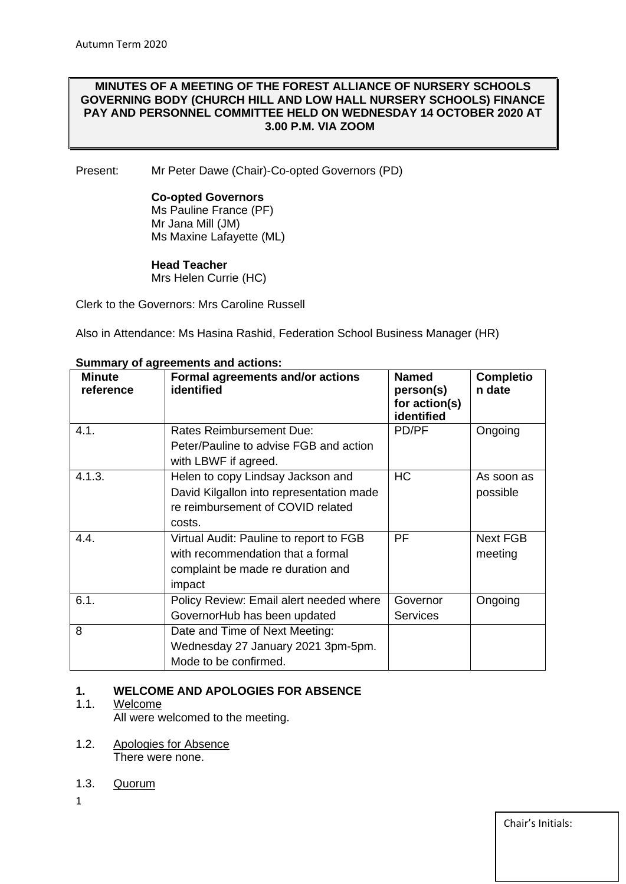## **MINUTES OF A MEETING OF THE FOREST ALLIANCE OF NURSERY SCHOOLS GOVERNING BODY (CHURCH HILL AND LOW HALL NURSERY SCHOOLS) FINANCE PAY AND PERSONNEL COMMITTEE HELD ON WEDNESDAY 14 OCTOBER 2020 AT 3.00 P.M. VIA ZOOM**

Present: Mr Peter Dawe (Chair)-Co-opted Governors (PD)

#### **Co-opted Governors**

Ms Pauline France (PF) Mr Jana Mill (JM) Ms Maxine Lafayette (ML)

#### **Head Teacher**

Mrs Helen Currie (HC)

Clerk to the Governors: Mrs Caroline Russell

Also in Attendance: Ms Hasina Rashid, Federation School Business Manager (HR)

| <b>Minute</b><br>reference | Formal agreements and/or actions<br>identified                                                                               | <b>Named</b><br>person(s)<br>for action(s)<br>identified | <b>Completio</b><br>n date |
|----------------------------|------------------------------------------------------------------------------------------------------------------------------|----------------------------------------------------------|----------------------------|
| 4.1.                       | <b>Rates Reimbursement Due:</b><br>Peter/Pauline to advise FGB and action<br>with LBWF if agreed.                            | PD/PF                                                    | Ongoing                    |
| 4.1.3.                     | Helen to copy Lindsay Jackson and<br>David Kilgallon into representation made<br>re reimbursement of COVID related<br>costs. | <b>HC</b>                                                | As soon as<br>possible     |
| 4.4.                       | Virtual Audit: Pauline to report to FGB<br>with recommendation that a formal<br>complaint be made re duration and<br>impact  | PF                                                       | <b>Next FGB</b><br>meeting |
| 6.1.                       | Policy Review: Email alert needed where<br>GovernorHub has been updated                                                      | Governor<br><b>Services</b>                              | Ongoing                    |
| 8                          | Date and Time of Next Meeting:<br>Wednesday 27 January 2021 3pm-5pm.<br>Mode to be confirmed.                                |                                                          |                            |

#### **Summary of agreements and actions:**

## **1. WELCOME AND APOLOGIES FOR ABSENCE**

## 1.1. Welcome

All were welcomed to the meeting.

- 1.2. Apologies for Absence There were none.
- 1.3. Quorum
- 1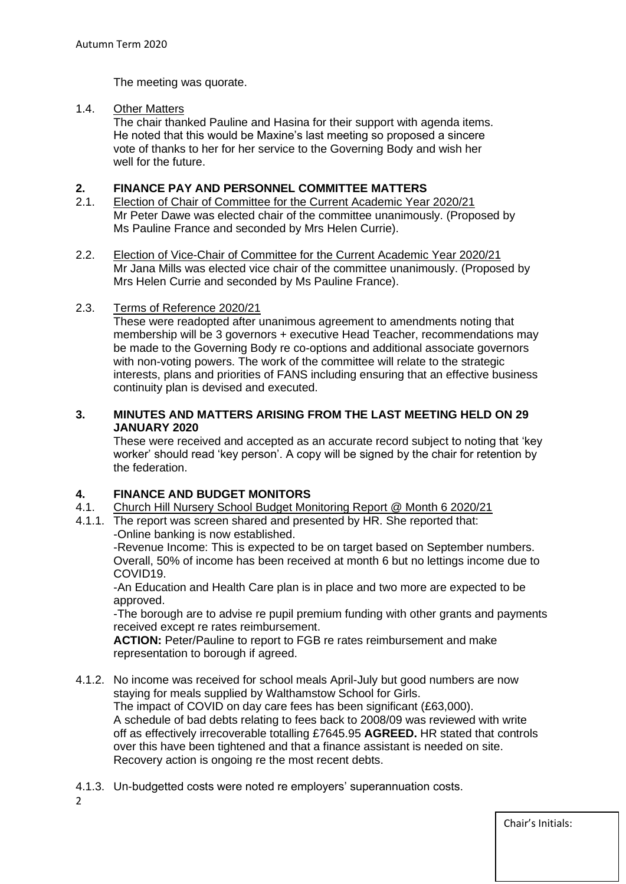The meeting was quorate.

#### 1.4. Other Matters

The chair thanked Pauline and Hasina for their support with agenda items. He noted that this would be Maxine's last meeting so proposed a sincere vote of thanks to her for her service to the Governing Body and wish her well for the future.

#### **2. FINANCE PAY AND PERSONNEL COMMITTEE MATTERS**

- 2.1. Election of Chair of Committee for the Current Academic Year 2020/21 Mr Peter Dawe was elected chair of the committee unanimously. (Proposed by Ms Pauline France and seconded by Mrs Helen Currie).
- 2.2. Election of Vice-Chair of Committee for the Current Academic Year 2020/21 Mr Jana Mills was elected vice chair of the committee unanimously. (Proposed by Mrs Helen Currie and seconded by Ms Pauline France).

## 2.3. Terms of Reference 2020/21

These were readopted after unanimous agreement to amendments noting that membership will be 3 governors + executive Head Teacher, recommendations may be made to the Governing Body re co-options and additional associate governors with non-voting powers. The work of the committee will relate to the strategic interests, plans and priorities of FANS including ensuring that an effective business continuity plan is devised and executed.

## **3. MINUTES AND MATTERS ARISING FROM THE LAST MEETING HELD ON 29 JANUARY 2020**

These were received and accepted as an accurate record subject to noting that 'key worker' should read 'key person'. A copy will be signed by the chair for retention by the federation.

## **4. FINANCE AND BUDGET MONITORS**

- 4.1. Church Hill Nursery School Budget Monitoring Report @ Month 6 2020/21
- 4.1.1. The report was screen shared and presented by HR. She reported that: -Online banking is now established.

-Revenue Income: This is expected to be on target based on September numbers. Overall, 50% of income has been received at month 6 but no lettings income due to COVID19.

-An Education and Health Care plan is in place and two more are expected to be approved.

-The borough are to advise re pupil premium funding with other grants and payments received except re rates reimbursement.

**ACTION:** Peter/Pauline to report to FGB re rates reimbursement and make representation to borough if agreed.

- 4.1.2. No income was received for school meals April-July but good numbers are now staying for meals supplied by Walthamstow School for Girls. The impact of COVID on day care fees has been significant (£63,000). A schedule of bad debts relating to fees back to 2008/09 was reviewed with write off as effectively irrecoverable totalling £7645.95 **AGREED.** HR stated that controls over this have been tightened and that a finance assistant is needed on site. Recovery action is ongoing re the most recent debts.
- 4.1.3. Un-budgetted costs were noted re employers' superannuation costs.

2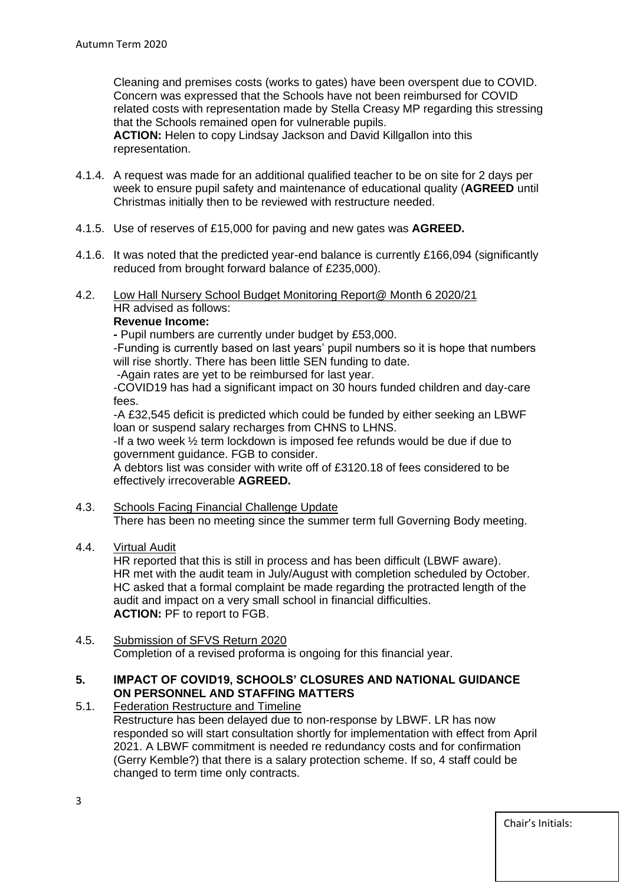Cleaning and premises costs (works to gates) have been overspent due to COVID. Concern was expressed that the Schools have not been reimbursed for COVID related costs with representation made by Stella Creasy MP regarding this stressing that the Schools remained open for vulnerable pupils.

**ACTION:** Helen to copy Lindsay Jackson and David Killgallon into this representation.

- 4.1.4. A request was made for an additional qualified teacher to be on site for 2 days per week to ensure pupil safety and maintenance of educational quality (**AGREED** until Christmas initially then to be reviewed with restructure needed.
- 4.1.5. Use of reserves of £15,000 for paving and new gates was **AGREED.**
- 4.1.6. It was noted that the predicted year-end balance is currently £166,094 (significantly reduced from brought forward balance of £235,000).
- 4.2. Low Hall Nursery School Budget Monitoring Report@ Month 6 2020/21 HR advised as follows:

# **Revenue Income:**

**-** Pupil numbers are currently under budget by £53,000.

-Funding is currently based on last years' pupil numbers so it is hope that numbers will rise shortly. There has been little SEN funding to date.

-Again rates are yet to be reimbursed for last year.

-COVID19 has had a significant impact on 30 hours funded children and day-care fees.

-A £32,545 deficit is predicted which could be funded by either seeking an LBWF loan or suspend salary recharges from CHNS to LHNS.

-If a two week ½ term lockdown is imposed fee refunds would be due if due to government guidance. FGB to consider.

A debtors list was consider with write off of £3120.18 of fees considered to be effectively irrecoverable **AGREED.** 

- 4.3. Schools Facing Financial Challenge Update There has been no meeting since the summer term full Governing Body meeting.
- 4.4. Virtual Audit

HR reported that this is still in process and has been difficult (LBWF aware). HR met with the audit team in July/August with completion scheduled by October. HC asked that a formal complaint be made regarding the protracted length of the audit and impact on a very small school in financial difficulties. **ACTION:** PF to report to FGB.

4.5. Submission of SFVS Return 2020 Completion of a revised proforma is ongoing for this financial year.

## **5. IMPACT OF COVID19, SCHOOLS' CLOSURES AND NATIONAL GUIDANCE ON PERSONNEL AND STAFFING MATTERS**

## 5.1. Federation Restructure and Timeline

Restructure has been delayed due to non-response by LBWF. LR has now responded so will start consultation shortly for implementation with effect from April 2021. A LBWF commitment is needed re redundancy costs and for confirmation (Gerry Kemble?) that there is a salary protection scheme. If so, 4 staff could be changed to term time only contracts.